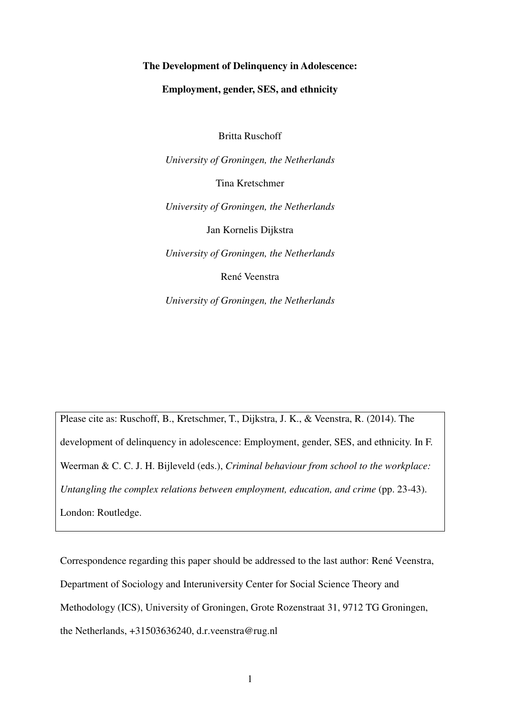# **The Development of Delinquency in Adolescence:**

# **Employment, gender, SES, and ethnicity**

Britta Ruschoff

*University of Groningen, the Netherlands*  Tina Kretschmer *University of Groningen, the Netherlands*  Jan Kornelis Dijkstra *University of Groningen, the Netherlands*  René Veenstra

*University of Groningen, the Netherlands* 

Please cite as: Ruschoff, B., Kretschmer, T., Dijkstra, J. K., & Veenstra, R. (2014). The development of delinquency in adolescence: Employment, gender, SES, and ethnicity. In F. Weerman & C. C. J. H. Bijleveld (eds.), *Criminal behaviour from school to the workplace: Untangling the complex relations between employment, education, and crime* (pp. 23-43). London: Routledge.

Correspondence regarding this paper should be addressed to the last author: René Veenstra, Department of Sociology and Interuniversity Center for Social Science Theory and Methodology (ICS), University of Groningen, Grote Rozenstraat 31, 9712 TG Groningen, the Netherlands, +31503636240, d.r.veenstra@rug.nl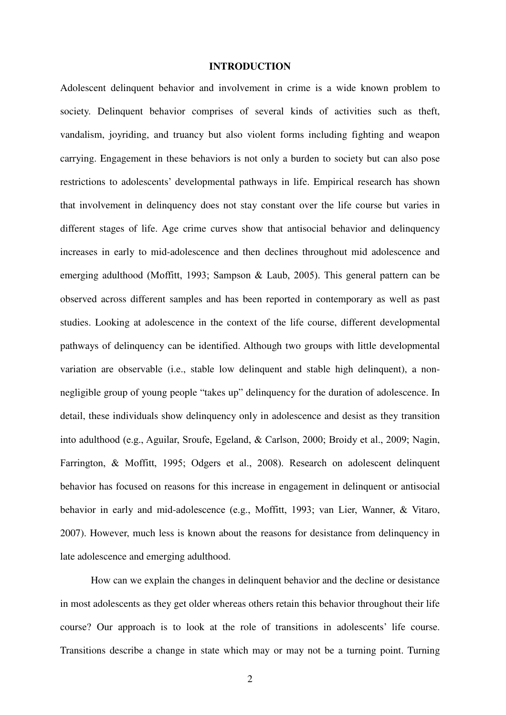# **INTRODUCTION**

Adolescent delinquent behavior and involvement in crime is a wide known problem to society. Delinquent behavior comprises of several kinds of activities such as theft, vandalism, joyriding, and truancy but also violent forms including fighting and weapon carrying. Engagement in these behaviors is not only a burden to society but can also pose restrictions to adolescents' developmental pathways in life. Empirical research has shown that involvement in delinquency does not stay constant over the life course but varies in different stages of life. Age crime curves show that antisocial behavior and delinquency increases in early to mid-adolescence and then declines throughout mid adolescence and emerging adulthood (Moffitt, 1993; Sampson & Laub, 2005). This general pattern can be observed across different samples and has been reported in contemporary as well as past studies. Looking at adolescence in the context of the life course, different developmental pathways of delinquency can be identified. Although two groups with little developmental variation are observable (i.e., stable low delinquent and stable high delinquent), a nonnegligible group of young people "takes up" delinquency for the duration of adolescence. In detail, these individuals show delinquency only in adolescence and desist as they transition into adulthood (e.g., Aguilar, Sroufe, Egeland, & Carlson, 2000; Broidy et al., 2009; Nagin, Farrington, & Moffitt, 1995; Odgers et al., 2008). Research on adolescent delinquent behavior has focused on reasons for this increase in engagement in delinquent or antisocial behavior in early and mid-adolescence (e.g., Moffitt, 1993; van Lier, Wanner, & Vitaro, 2007). However, much less is known about the reasons for desistance from delinquency in late adolescence and emerging adulthood.

How can we explain the changes in delinquent behavior and the decline or desistance in most adolescents as they get older whereas others retain this behavior throughout their life course? Our approach is to look at the role of transitions in adolescents' life course. Transitions describe a change in state which may or may not be a turning point. Turning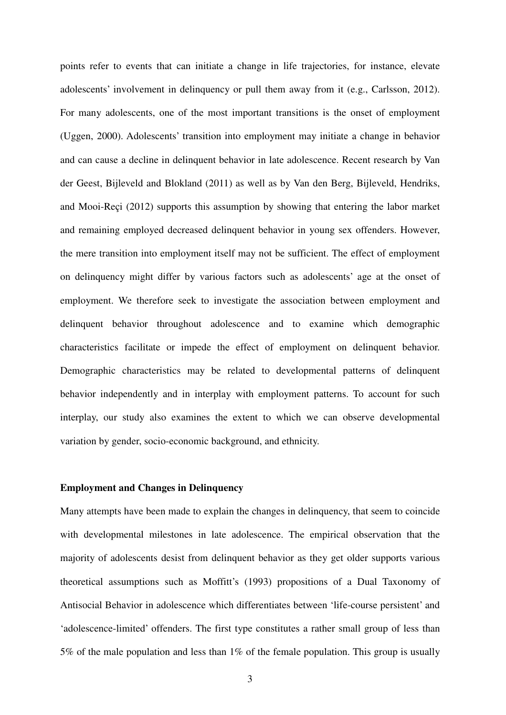points refer to events that can initiate a change in life trajectories, for instance, elevate adolescents' involvement in delinquency or pull them away from it (e.g., Carlsson, 2012). For many adolescents, one of the most important transitions is the onset of employment (Uggen, 2000). Adolescents' transition into employment may initiate a change in behavior and can cause a decline in delinquent behavior in late adolescence. Recent research by Van der Geest, Bijleveld and Blokland (2011) as well as by Van den Berg, Bijleveld, Hendriks, and Mooi-Reçi (2012) supports this assumption by showing that entering the labor market and remaining employed decreased delinquent behavior in young sex offenders. However, the mere transition into employment itself may not be sufficient. The effect of employment on delinquency might differ by various factors such as adolescents' age at the onset of employment. We therefore seek to investigate the association between employment and delinquent behavior throughout adolescence and to examine which demographic characteristics facilitate or impede the effect of employment on delinquent behavior. Demographic characteristics may be related to developmental patterns of delinquent behavior independently and in interplay with employment patterns. To account for such interplay, our study also examines the extent to which we can observe developmental variation by gender, socio-economic background, and ethnicity.

# **Employment and Changes in Delinquency**

Many attempts have been made to explain the changes in delinquency, that seem to coincide with developmental milestones in late adolescence. The empirical observation that the majority of adolescents desist from delinquent behavior as they get older supports various theoretical assumptions such as Moffitt's (1993) propositions of a Dual Taxonomy of Antisocial Behavior in adolescence which differentiates between 'life-course persistent' and 'adolescence-limited' offenders. The first type constitutes a rather small group of less than 5% of the male population and less than 1% of the female population. This group is usually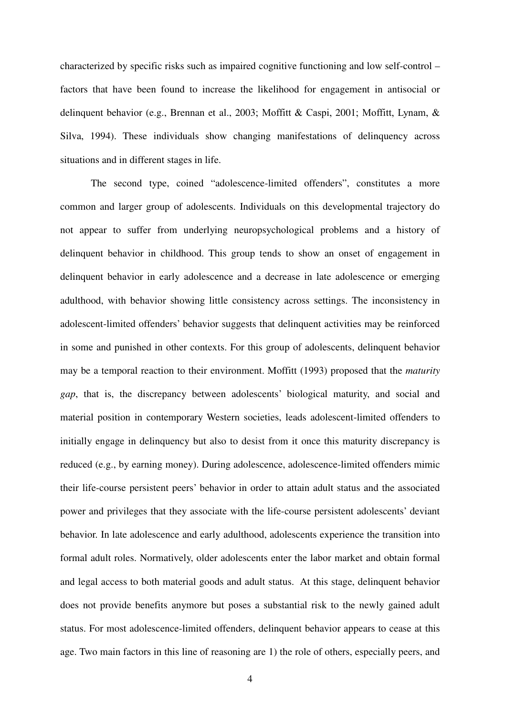characterized by specific risks such as impaired cognitive functioning and low self-control – factors that have been found to increase the likelihood for engagement in antisocial or delinquent behavior (e.g., Brennan et al., 2003; Moffitt & Caspi, 2001; Moffitt, Lynam, & Silva, 1994). These individuals show changing manifestations of delinquency across situations and in different stages in life.

The second type, coined "adolescence-limited offenders", constitutes a more common and larger group of adolescents. Individuals on this developmental trajectory do not appear to suffer from underlying neuropsychological problems and a history of delinquent behavior in childhood. This group tends to show an onset of engagement in delinquent behavior in early adolescence and a decrease in late adolescence or emerging adulthood, with behavior showing little consistency across settings. The inconsistency in adolescent-limited offenders' behavior suggests that delinquent activities may be reinforced in some and punished in other contexts. For this group of adolescents, delinquent behavior may be a temporal reaction to their environment. Moffitt (1993) proposed that the *maturity gap*, that is, the discrepancy between adolescents' biological maturity, and social and material position in contemporary Western societies, leads adolescent-limited offenders to initially engage in delinquency but also to desist from it once this maturity discrepancy is reduced (e.g., by earning money). During adolescence, adolescence-limited offenders mimic their life-course persistent peers' behavior in order to attain adult status and the associated power and privileges that they associate with the life-course persistent adolescents' deviant behavior. In late adolescence and early adulthood, adolescents experience the transition into formal adult roles. Normatively, older adolescents enter the labor market and obtain formal and legal access to both material goods and adult status. At this stage, delinquent behavior does not provide benefits anymore but poses a substantial risk to the newly gained adult status. For most adolescence-limited offenders, delinquent behavior appears to cease at this age. Two main factors in this line of reasoning are 1) the role of others, especially peers, and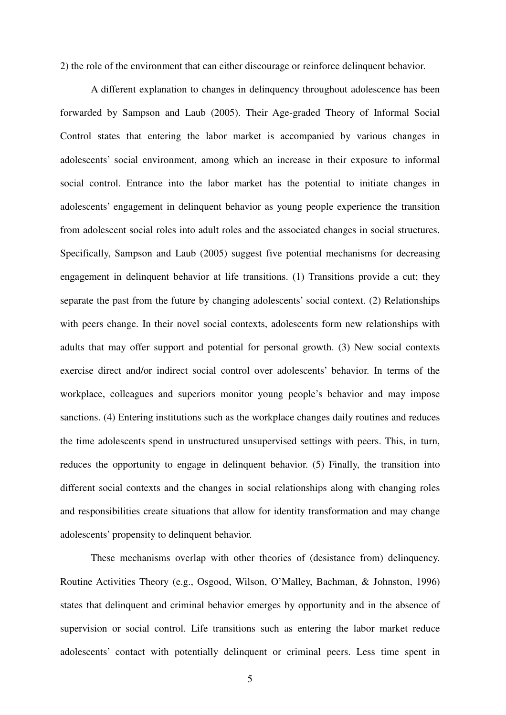2) the role of the environment that can either discourage or reinforce delinquent behavior.

A different explanation to changes in delinquency throughout adolescence has been forwarded by Sampson and Laub (2005). Their Age-graded Theory of Informal Social Control states that entering the labor market is accompanied by various changes in adolescents' social environment, among which an increase in their exposure to informal social control. Entrance into the labor market has the potential to initiate changes in adolescents' engagement in delinquent behavior as young people experience the transition from adolescent social roles into adult roles and the associated changes in social structures. Specifically, Sampson and Laub (2005) suggest five potential mechanisms for decreasing engagement in delinquent behavior at life transitions. (1) Transitions provide a cut; they separate the past from the future by changing adolescents' social context. (2) Relationships with peers change. In their novel social contexts, adolescents form new relationships with adults that may offer support and potential for personal growth. (3) New social contexts exercise direct and/or indirect social control over adolescents' behavior. In terms of the workplace, colleagues and superiors monitor young people's behavior and may impose sanctions. (4) Entering institutions such as the workplace changes daily routines and reduces the time adolescents spend in unstructured unsupervised settings with peers. This, in turn, reduces the opportunity to engage in delinquent behavior. (5) Finally, the transition into different social contexts and the changes in social relationships along with changing roles and responsibilities create situations that allow for identity transformation and may change adolescents' propensity to delinquent behavior.

These mechanisms overlap with other theories of (desistance from) delinquency. Routine Activities Theory (e.g., Osgood, Wilson, O'Malley, Bachman, & Johnston, 1996) states that delinquent and criminal behavior emerges by opportunity and in the absence of supervision or social control. Life transitions such as entering the labor market reduce adolescents' contact with potentially delinquent or criminal peers. Less time spent in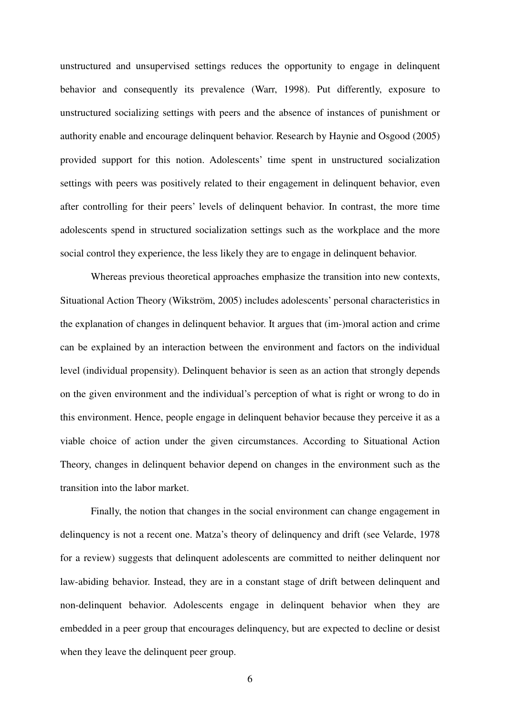unstructured and unsupervised settings reduces the opportunity to engage in delinquent behavior and consequently its prevalence (Warr, 1998). Put differently, exposure to unstructured socializing settings with peers and the absence of instances of punishment or authority enable and encourage delinquent behavior. Research by Haynie and Osgood (2005) provided support for this notion. Adolescents' time spent in unstructured socialization settings with peers was positively related to their engagement in delinquent behavior, even after controlling for their peers' levels of delinquent behavior. In contrast, the more time adolescents spend in structured socialization settings such as the workplace and the more social control they experience, the less likely they are to engage in delinquent behavior.

Whereas previous theoretical approaches emphasize the transition into new contexts, Situational Action Theory (Wikström, 2005) includes adolescents' personal characteristics in the explanation of changes in delinquent behavior. It argues that (im-)moral action and crime can be explained by an interaction between the environment and factors on the individual level (individual propensity). Delinquent behavior is seen as an action that strongly depends on the given environment and the individual's perception of what is right or wrong to do in this environment. Hence, people engage in delinquent behavior because they perceive it as a viable choice of action under the given circumstances. According to Situational Action Theory, changes in delinquent behavior depend on changes in the environment such as the transition into the labor market.

Finally, the notion that changes in the social environment can change engagement in delinquency is not a recent one. Matza's theory of delinquency and drift (see Velarde, 1978 for a review) suggests that delinquent adolescents are committed to neither delinquent nor law-abiding behavior. Instead, they are in a constant stage of drift between delinquent and non-delinquent behavior. Adolescents engage in delinquent behavior when they are embedded in a peer group that encourages delinquency, but are expected to decline or desist when they leave the delinquent peer group.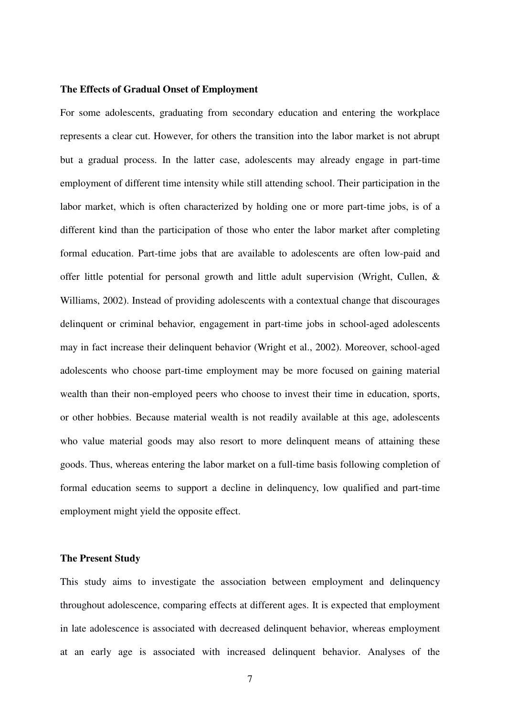# **The Effects of Gradual Onset of Employment**

For some adolescents, graduating from secondary education and entering the workplace represents a clear cut. However, for others the transition into the labor market is not abrupt but a gradual process. In the latter case, adolescents may already engage in part-time employment of different time intensity while still attending school. Their participation in the labor market, which is often characterized by holding one or more part-time jobs, is of a different kind than the participation of those who enter the labor market after completing formal education. Part-time jobs that are available to adolescents are often low-paid and offer little potential for personal growth and little adult supervision (Wright, Cullen, & Williams, 2002). Instead of providing adolescents with a contextual change that discourages delinquent or criminal behavior, engagement in part-time jobs in school-aged adolescents may in fact increase their delinquent behavior (Wright et al., 2002). Moreover, school-aged adolescents who choose part-time employment may be more focused on gaining material wealth than their non-employed peers who choose to invest their time in education, sports, or other hobbies. Because material wealth is not readily available at this age, adolescents who value material goods may also resort to more delinquent means of attaining these goods. Thus, whereas entering the labor market on a full-time basis following completion of formal education seems to support a decline in delinquency, low qualified and part-time employment might yield the opposite effect.

## **The Present Study**

This study aims to investigate the association between employment and delinquency throughout adolescence, comparing effects at different ages. It is expected that employment in late adolescence is associated with decreased delinquent behavior, whereas employment at an early age is associated with increased delinquent behavior. Analyses of the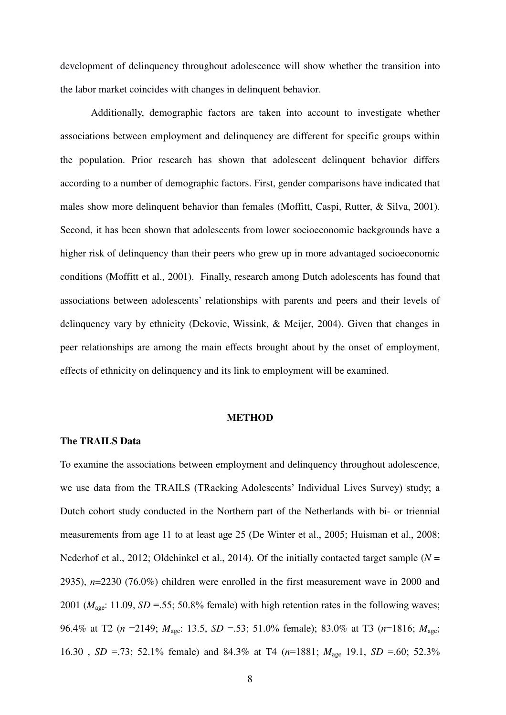development of delinquency throughout adolescence will show whether the transition into the labor market coincides with changes in delinquent behavior.

Additionally, demographic factors are taken into account to investigate whether associations between employment and delinquency are different for specific groups within the population. Prior research has shown that adolescent delinquent behavior differs according to a number of demographic factors. First, gender comparisons have indicated that males show more delinquent behavior than females (Moffitt, Caspi, Rutter, & Silva, 2001). Second, it has been shown that adolescents from lower socioeconomic backgrounds have a higher risk of delinquency than their peers who grew up in more advantaged socioeconomic conditions (Moffitt et al., 2001). Finally, research among Dutch adolescents has found that associations between adolescents' relationships with parents and peers and their levels of delinquency vary by ethnicity (Dekovic, Wissink, & Meijer, 2004). Given that changes in peer relationships are among the main effects brought about by the onset of employment, effects of ethnicity on delinquency and its link to employment will be examined.

## **METHOD**

# **The TRAILS Data**

To examine the associations between employment and delinquency throughout adolescence, we use data from the TRAILS (TRacking Adolescents' Individual Lives Survey) study; a Dutch cohort study conducted in the Northern part of the Netherlands with bi- or triennial measurements from age 11 to at least age 25 (De Winter et al., 2005; Huisman et al., 2008; Nederhof et al., 2012; Oldehinkel et al., 2014). Of the initially contacted target sample (*N* = 2935), *n*=2230 (76.0%) children were enrolled in the first measurement wave in 2000 and 2001 ( $M<sub>age</sub>: 11.09$ ,  $SD = 55$ ; 50.8% female) with high retention rates in the following waves; 96.4% at T2 (*n* =2149; *M*age: 13.5, *SD* =.53; 51.0% female); 83.0% at T3 (*n*=1816; *M*age; 16.30 , *SD* =.73; 52.1% female) and 84.3% at T4 (*n*=1881; *M*age 19.1, *SD* =.60; 52.3%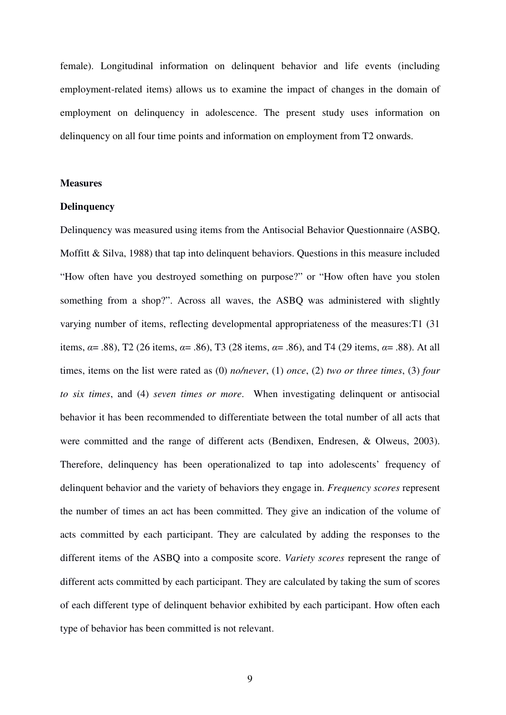female). Longitudinal information on delinquent behavior and life events (including employment-related items) allows us to examine the impact of changes in the domain of employment on delinquency in adolescence. The present study uses information on delinquency on all four time points and information on employment from T2 onwards.

#### **Measures**

# **Delinquency**

Delinquency was measured using items from the Antisocial Behavior Questionnaire (ASBQ, Moffitt & Silva, 1988) that tap into delinquent behaviors. Questions in this measure included "How often have you destroyed something on purpose?" or "How often have you stolen something from a shop?". Across all waves, the ASBQ was administered with slightly varying number of items, reflecting developmental appropriateness of the measures:T1 (31 items,  $\alpha$  = .88), T2 (26 items,  $\alpha$  = .86), T3 (28 items,  $\alpha$  = .86), and T4 (29 items,  $\alpha$  = .88). At all times, items on the list were rated as (0) *no/never*, (1) *once*, (2) *two or three times*, (3) *four to six times*, and (4) *seven times or more*. When investigating delinquent or antisocial behavior it has been recommended to differentiate between the total number of all acts that were committed and the range of different acts (Bendixen, Endresen, & Olweus, 2003). Therefore, delinquency has been operationalized to tap into adolescents' frequency of delinquent behavior and the variety of behaviors they engage in. *Frequency scores* represent the number of times an act has been committed. They give an indication of the volume of acts committed by each participant. They are calculated by adding the responses to the different items of the ASBQ into a composite score. *Variety scores* represent the range of different acts committed by each participant. They are calculated by taking the sum of scores of each different type of delinquent behavior exhibited by each participant. How often each type of behavior has been committed is not relevant.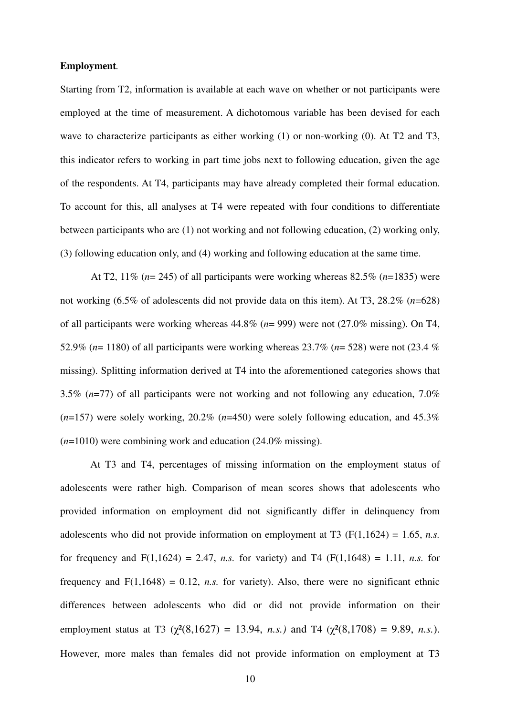# **Employment***.*

Starting from T2, information is available at each wave on whether or not participants were employed at the time of measurement. A dichotomous variable has been devised for each wave to characterize participants as either working (1) or non-working (0). At T2 and T3, this indicator refers to working in part time jobs next to following education, given the age of the respondents. At T4, participants may have already completed their formal education. To account for this, all analyses at T4 were repeated with four conditions to differentiate between participants who are (1) not working and not following education, (2) working only, (3) following education only, and (4) working and following education at the same time.

At T2, 11% (*n*= 245) of all participants were working whereas 82.5% (*n*=1835) were not working (6.5% of adolescents did not provide data on this item). At T3, 28.2% (*n*=628) of all participants were working whereas 44.8% (*n*= 999) were not (27.0% missing). On T4, 52.9% (*n*= 1180) of all participants were working whereas 23.7% (*n*= 528) were not (23.4 % missing). Splitting information derived at T4 into the aforementioned categories shows that 3.5% (*n*=77) of all participants were not working and not following any education, 7.0% (*n*=157) were solely working, 20.2% (*n*=450) were solely following education, and 45.3% (*n*=1010) were combining work and education (24.0% missing).

At T3 and T4, percentages of missing information on the employment status of adolescents were rather high. Comparison of mean scores shows that adolescents who provided information on employment did not significantly differ in delinquency from adolescents who did not provide information on employment at T3  $(F(1,1624) = 1.65, n.s.$ for frequency and  $F(1,1624) = 2.47$ , *n.s.* for variety) and T4 ( $F(1,1648) = 1.11$ , *n.s.* for frequency and  $F(1,1648) = 0.12$ , *n.s.* for variety). Also, there were no significant ethnic differences between adolescents who did or did not provide information on their employment status at T3 ( $\chi^2(8,1627) = 13.94$ , *n.s.*) and T4 ( $\chi^2(8,1708) = 9.89$ , *n.s.*). However, more males than females did not provide information on employment at T3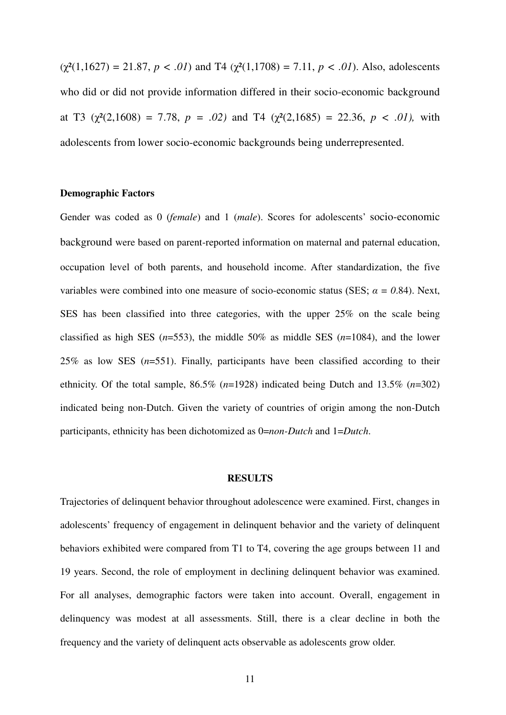$(\chi^2(1,1627) = 21.87, p < .01)$  and T4  $(\chi^2(1,1708) = 7.11, p < .01)$ . Also, adolescents who did or did not provide information differed in their socio-economic background at T3 ( $\chi^2(2,1608) = 7.78$ ,  $p = .02$ ) and T4 ( $\chi^2(2,1685) = 22.36$ ,  $p < .01$ ), with adolescents from lower socio-economic backgrounds being underrepresented.

# **Demographic Factors**

Gender was coded as 0 (*female*) and 1 (*male*). Scores for adolescents' socio-economic background were based on parent-reported information on maternal and paternal education, occupation level of both parents, and household income. After standardization, the five variables were combined into one measure of socio-economic status (SES;  $\alpha = 0.84$ ). Next, SES has been classified into three categories, with the upper 25% on the scale being classified as high SES (*n*=553), the middle 50% as middle SES (*n*=1084), and the lower 25% as low SES (*n*=551). Finally, participants have been classified according to their ethnicity. Of the total sample, 86.5% (*n*=1928) indicated being Dutch and 13.5% (*n*=302) indicated being non-Dutch. Given the variety of countries of origin among the non-Dutch participants, ethnicity has been dichotomized as 0=*non-Dutch* and 1=*Dutch*.

# **RESULTS**

Trajectories of delinquent behavior throughout adolescence were examined. First, changes in adolescents' frequency of engagement in delinquent behavior and the variety of delinquent behaviors exhibited were compared from T1 to T4, covering the age groups between 11 and 19 years. Second, the role of employment in declining delinquent behavior was examined. For all analyses, demographic factors were taken into account. Overall, engagement in delinquency was modest at all assessments. Still, there is a clear decline in both the frequency and the variety of delinquent acts observable as adolescents grow older.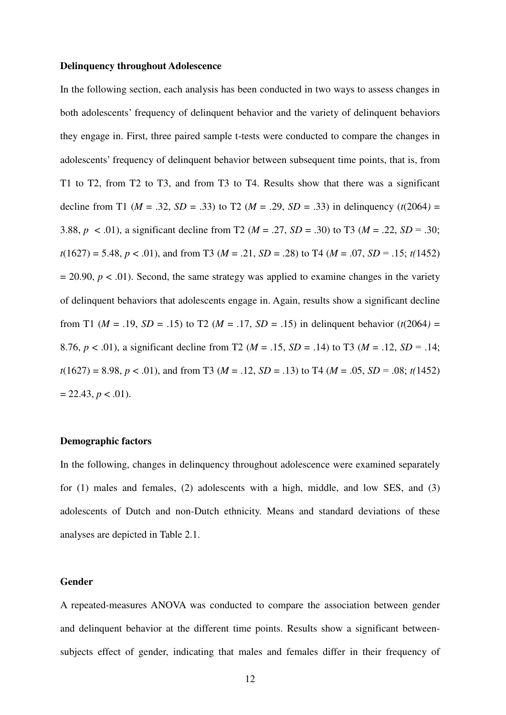## **Delinquency throughout Adolescence**

In the following section, each analysis has been conducted in two ways to assess changes in both adolescents' frequency of delinquent behavior and the variety of delinquent behaviors they engage in. First, three paired sample t-tests were conducted to compare the changes in adolescents' frequency of delinquent behavior between subsequent time points, that is, from T1 to T2, from T2 to T3, and from T3 to T4. Results show that there was a significant decline from T1 ( $M = .32$ ,  $SD = .33$ ) to T2 ( $M = .29$ ,  $SD = .33$ ) in delinquency ( $t(2064) =$ 3.88,  $p < .01$ ), a significant decline from T2 ( $M = .27$ ,  $SD = .30$ ) to T3 ( $M = .22$ ,  $SD = .30$ ;  $t(1627) = 5.48$ ,  $p < .01$ ), and from T3 ( $M = .21$ ,  $SD = .28$ ) to T4 ( $M = .07$ ,  $SD = .15$ ;  $t(1452)$ )  $= 20.90, p < .01$ ). Second, the same strategy was applied to examine changes in the variety of delinquent behaviors that adolescents engage in. Again, results show a significant decline from T1 ( $M = .19$ ,  $SD = .15$ ) to T2 ( $M = .17$ ,  $SD = .15$ ) in delinquent behavior ( $t(2064) =$ 8.76,  $p < .01$ ), a significant decline from T2 ( $M = .15$ ,  $SD = .14$ ) to T3 ( $M = .12$ ,  $SD = .14$ ;  $t(1627) = 8.98$ ,  $p < .01$ ), and from T3 ( $M = .12$ ,  $SD = .13$ ) to T4 ( $M = .05$ ,  $SD = .08$ ;  $t(1452)$ )  $= 22.43, p < .01$ ).

# **Demographic factors**

In the following, changes in delinquency throughout adolescence were examined separately for (1) males and females, (2) adolescents with a high, middle, and low SES, and (3) adolescents of Dutch and non-Dutch ethnicity. Means and standard deviations of these analyses are depicted in Table 2.1.

# **Gender**

A repeated-measures ANOVA was conducted to compare the association between gender and delinquent behavior at the different time points. Results show a significant betweensubjects effect of gender, indicating that males and females differ in their frequency of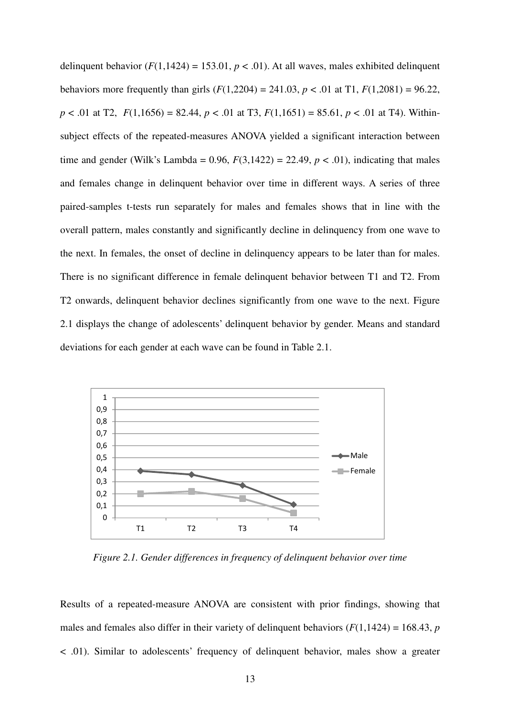delinquent behavior  $(F(1,1424) = 153.01, p < .01)$ . At all waves, males exhibited delinquent behaviors more frequently than girls  $(F(1,2204) = 241.03, p < .01$  at T1,  $F(1,2081) = 96.22$ ,  $p < .01$  at T2,  $F(1,1656) = 82.44$ ,  $p < .01$  at T3,  $F(1,1651) = 85.61$ ,  $p < .01$  at T4). Withinsubject effects of the repeated-measures ANOVA yielded a significant interaction between time and gender (Wilk's Lambda =  $0.96$ ,  $F(3,1422) = 22.49$ ,  $p < .01$ ), indicating that males and females change in delinquent behavior over time in different ways. A series of three paired-samples t-tests run separately for males and females shows that in line with the overall pattern, males constantly and significantly decline in delinquency from one wave to the next. In females, the onset of decline in delinquency appears to be later than for males. There is no significant difference in female delinquent behavior between T1 and T2. From T2 onwards, delinquent behavior declines significantly from one wave to the next. Figure 2.1 displays the change of adolescents' delinquent behavior by gender. Means and standard deviations for each gender at each wave can be found in Table 2.1.



*Figure 2.1. Gender differences in frequency of delinquent behavior over time* 

Results of a repeated-measure ANOVA are consistent with prior findings, showing that males and females also differ in their variety of delinquent behaviors  $(F(1,1424) = 168.43, p$ < .01). Similar to adolescents' frequency of delinquent behavior, males show a greater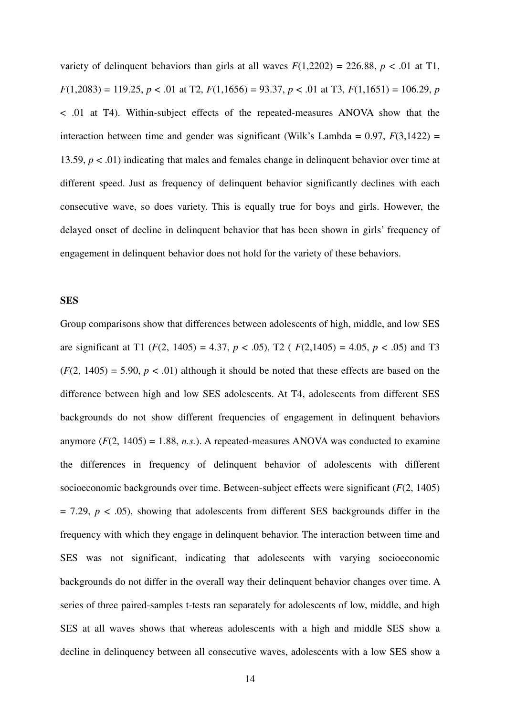variety of delinquent behaviors than girls at all waves  $F(1,2202) = 226.88$ ,  $p < .01$  at T1,  $F(1,2083) = 119.25, p < .01$  at T2,  $F(1,1656) = 93.37, p < .01$  at T3,  $F(1,1651) = 106.29, p$ < .01 at T4). Within-subject effects of the repeated-measures ANOVA show that the interaction between time and gender was significant (Wilk's Lambda =  $0.97$ ,  $F(3,1422)$  = 13.59, *p* < .01) indicating that males and females change in delinquent behavior over time at different speed. Just as frequency of delinquent behavior significantly declines with each consecutive wave, so does variety. This is equally true for boys and girls. However, the delayed onset of decline in delinquent behavior that has been shown in girls' frequency of engagement in delinquent behavior does not hold for the variety of these behaviors.

#### **SES**

Group comparisons show that differences between adolescents of high, middle, and low SES are significant at T1 ( $F(2, 1405) = 4.37$ ,  $p < .05$ ), T2 ( $F(2, 1405) = 4.05$ ,  $p < .05$ ) and T3  $(F(2, 1405) = 5.90, p < .01)$  although it should be noted that these effects are based on the difference between high and low SES adolescents. At T4, adolescents from different SES backgrounds do not show different frequencies of engagement in delinquent behaviors anymore  $(F(2, 1405) = 1.88, n.s.)$ . A repeated-measures ANOVA was conducted to examine the differences in frequency of delinquent behavior of adolescents with different socioeconomic backgrounds over time. Between-subject effects were significant (*F*(2, 1405)  $= 7.29$ ,  $p < .05$ ), showing that adolescents from different SES backgrounds differ in the frequency with which they engage in delinquent behavior. The interaction between time and SES was not significant, indicating that adolescents with varying socioeconomic backgrounds do not differ in the overall way their delinquent behavior changes over time. A series of three paired-samples t-tests ran separately for adolescents of low, middle, and high SES at all waves shows that whereas adolescents with a high and middle SES show a decline in delinquency between all consecutive waves, adolescents with a low SES show a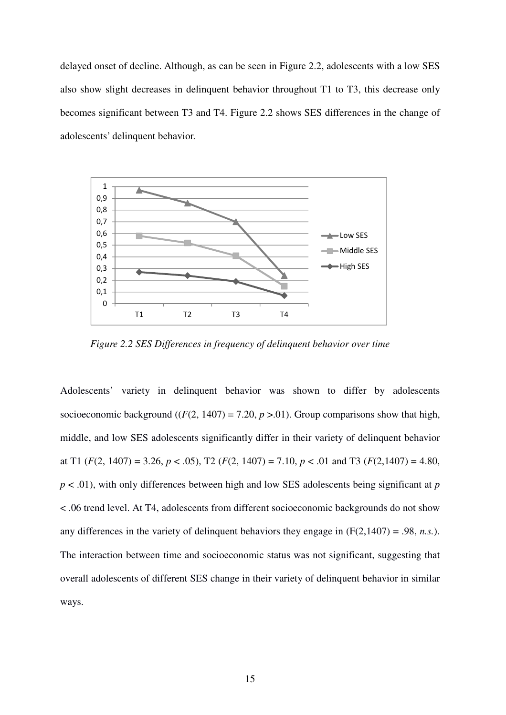delayed onset of decline. Although, as can be seen in Figure 2.2, adolescents with a low SES also show slight decreases in delinquent behavior throughout T1 to T3, this decrease only becomes significant between T3 and T4. Figure 2.2 shows SES differences in the change of adolescents' delinquent behavior.



*Figure 2.2 SES Differences in frequency of delinquent behavior over time* 

Adolescents' variety in delinquent behavior was shown to differ by adolescents socioeconomic background  $((F(2, 1407) = 7.20, p > .01)$ . Group comparisons show that high, middle, and low SES adolescents significantly differ in their variety of delinquent behavior at T1  $(F(2, 1407) = 3.26, p < .05)$ , T2  $(F(2, 1407) = 7.10, p < .01$  and T3  $(F(2, 1407) = 4.80,$ *p* < .01), with only differences between high and low SES adolescents being significant at *p* < .06 trend level. At T4, adolescents from different socioeconomic backgrounds do not show any differences in the variety of delinquent behaviors they engage in  $(F(2,1407) = .98, n.s.).$ The interaction between time and socioeconomic status was not significant, suggesting that overall adolescents of different SES change in their variety of delinquent behavior in similar ways.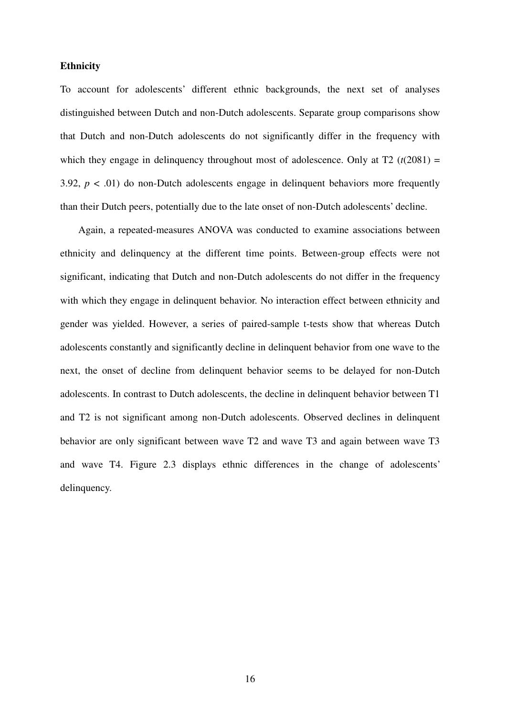# **Ethnicity**

To account for adolescents' different ethnic backgrounds, the next set of analyses distinguished between Dutch and non-Dutch adolescents. Separate group comparisons show that Dutch and non-Dutch adolescents do not significantly differ in the frequency with which they engage in delinquency throughout most of adolescence. Only at  $T2$  ( $t(2081) =$ 3.92,  $p < .01$ ) do non-Dutch adolescents engage in delinquent behaviors more frequently than their Dutch peers, potentially due to the late onset of non-Dutch adolescents' decline.

Again, a repeated-measures ANOVA was conducted to examine associations between ethnicity and delinquency at the different time points. Between-group effects were not significant, indicating that Dutch and non-Dutch adolescents do not differ in the frequency with which they engage in delinquent behavior. No interaction effect between ethnicity and gender was yielded. However, a series of paired-sample t-tests show that whereas Dutch adolescents constantly and significantly decline in delinquent behavior from one wave to the next, the onset of decline from delinquent behavior seems to be delayed for non-Dutch adolescents. In contrast to Dutch adolescents, the decline in delinquent behavior between T1 and T2 is not significant among non-Dutch adolescents. Observed declines in delinquent behavior are only significant between wave T2 and wave T3 and again between wave T3 and wave T4. Figure 2.3 displays ethnic differences in the change of adolescents' delinquency.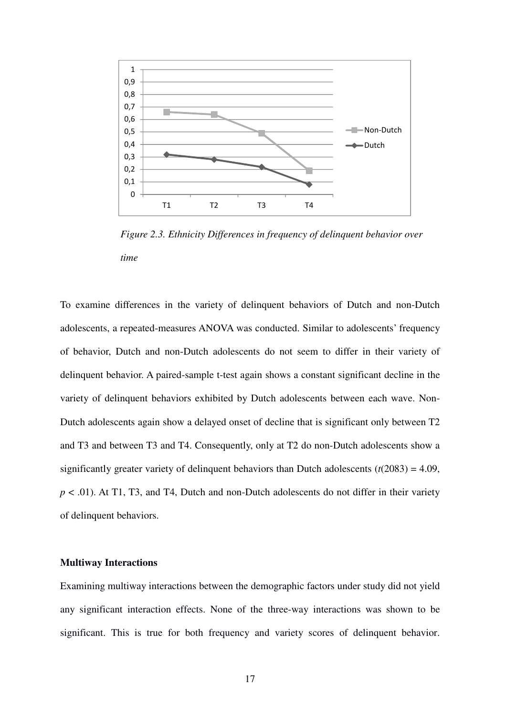

*Figure 2.3. Ethnicity Differences in frequency of delinquent behavior over time* 

To examine differences in the variety of delinquent behaviors of Dutch and non-Dutch adolescents, a repeated-measures ANOVA was conducted. Similar to adolescents' frequency of behavior, Dutch and non-Dutch adolescents do not seem to differ in their variety of delinquent behavior. A paired-sample t-test again shows a constant significant decline in the variety of delinquent behaviors exhibited by Dutch adolescents between each wave. Non-Dutch adolescents again show a delayed onset of decline that is significant only between T2 and T3 and between T3 and T4. Consequently, only at T2 do non-Dutch adolescents show a significantly greater variety of delinquent behaviors than Dutch adolescents  $(t(2083) = 4.09$ , *p* < .01). At T1, T3, and T4, Dutch and non-Dutch adolescents do not differ in their variety of delinquent behaviors.

#### **Multiway Interactions**

Examining multiway interactions between the demographic factors under study did not yield any significant interaction effects. None of the three-way interactions was shown to be significant. This is true for both frequency and variety scores of delinquent behavior.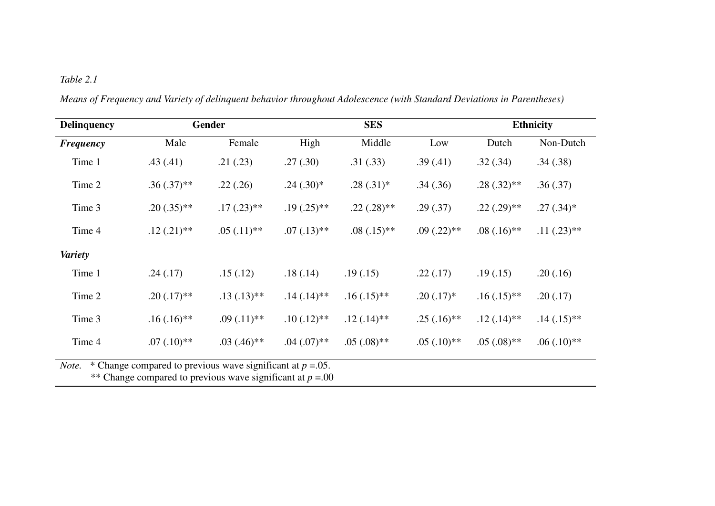# *Table 2.1*

| <b>Delinquency</b>                                                      |               | Gender        | <b>SES</b>    |               |               | <b>Ethnicity</b> |               |
|-------------------------------------------------------------------------|---------------|---------------|---------------|---------------|---------------|------------------|---------------|
| <b>Frequency</b>                                                        | Male          | Female        | High          | Middle        | Low           | Dutch            | Non-Dutch     |
| Time 1                                                                  | .43(.41)      | .21(.23)      | .27(.30)      | .31(.33)      | .39(.41)      | .32(.34)         | .34(.38)      |
| Time 2                                                                  | $.36(.37)$ ** | .22(.26)      | $.24(.30)*$   | $.28(.31)*$   | .34(.36)      | $.28(.32)$ **    | .36(.37)      |
| Time 3                                                                  | $.20(.35)$ ** | $.17(.23)$ ** | $.19(.25)$ ** | $.22(.28)$ ** | .29(.37)      | $.22(.29)$ **    | $.27(.34)*$   |
| Time 4                                                                  | $.12(.21)$ ** | $.05(.11)**$  | $.07(.13)$ ** | $.08(.15)$ ** | $.09(.22)$ ** | $.08(.16)$ **    | $.11(.23)$ ** |
| <b>Variety</b>                                                          |               |               |               |               |               |                  |               |
| Time 1                                                                  | .24(.17)      | .15(.12)      | .18(.14)      | .19(0.15)     | .22(.17)      | .19(0.15)        | .20(.16)      |
| Time 2                                                                  | $.20(.17)$ ** | $.13(.13)**$  | $.14(.14)$ ** | $.16(.15)$ ** | $.20(.17)$ *  | $.16(.15)$ **    | .20(.17)      |
| Time 3                                                                  | $.16(.16)$ ** | $.09(.11)**$  | $.10(.12)$ ** | $.12(.14)$ ** | $.25(.16)$ ** | $.12(.14)$ **    | $.14(.15)$ ** |
| Time 4                                                                  | $.07(.10)**$  | $.03(.46)$ ** | $.04(.07)$ ** | $.05(.08)$ ** | $.05(.10)**$  | $.05(.08)$ **    | $.06(.10)**$  |
| * Change compared to previous wave significant at $p = 0.05$ .<br>Note. |               |               |               |               |               |                  |               |

*Means of Frequency and Variety of delinquent behavior throughout Adolescence (with Standard Deviations in Parentheses)* 

\*\* Change compared to previous wave significant at  $p = 0.00$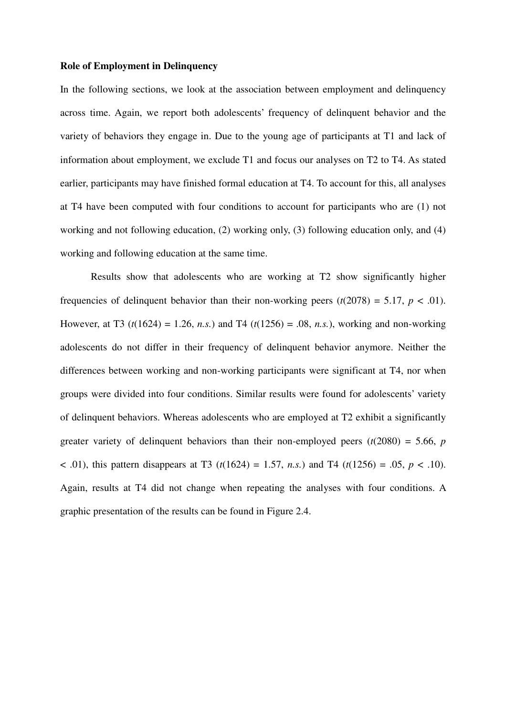# **Role of Employment in Delinquency**

In the following sections, we look at the association between employment and delinquency across time. Again, we report both adolescents' frequency of delinquent behavior and the variety of behaviors they engage in. Due to the young age of participants at T1 and lack of information about employment, we exclude T1 and focus our analyses on T2 to T4. As stated earlier, participants may have finished formal education at T4. To account for this, all analyses at T4 have been computed with four conditions to account for participants who are (1) not working and not following education, (2) working only, (3) following education only, and (4) working and following education at the same time.

Results show that adolescents who are working at T2 show significantly higher frequencies of delinquent behavior than their non-working peers  $(t(2078) = 5.17, p < .01)$ . However, at T3 ( $t(1624) = 1.26$ , *n.s.*) and T4 ( $t(1256) = .08$ , *n.s.*), working and non-working adolescents do not differ in their frequency of delinquent behavior anymore. Neither the differences between working and non-working participants were significant at T4, nor when groups were divided into four conditions. Similar results were found for adolescents' variety of delinquent behaviors. Whereas adolescents who are employed at T2 exhibit a significantly greater variety of delinquent behaviors than their non-employed peers  $(t(2080) = 5.66, p$ < .01), this pattern disappears at T3 (*t*(1624) = 1.57, *n.s.*) and T4 (*t*(1256) = .05, *p* < .10). Again, results at T4 did not change when repeating the analyses with four conditions. A graphic presentation of the results can be found in Figure 2.4.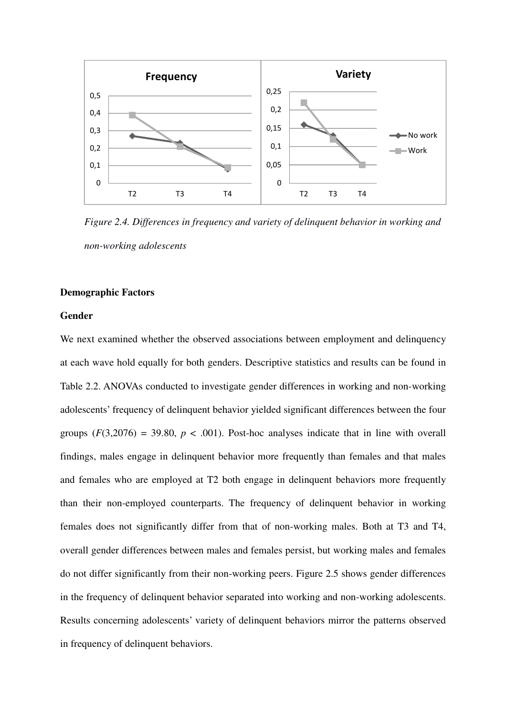

*Figure 2.4. Differences in frequency and variety of delinquent behavior in working and non-working adolescents* 

# **Demographic Factors**

# **Gender**

We next examined whether the observed associations between employment and delinquency at each wave hold equally for both genders. Descriptive statistics and results can be found in Table 2.2. ANOVAs conducted to investigate gender differences in working and non-working adolescents' frequency of delinquent behavior yielded significant differences between the four groups  $(F(3,2076) = 39.80, p < .001)$ . Post-hoc analyses indicate that in line with overall findings, males engage in delinquent behavior more frequently than females and that males and females who are employed at T2 both engage in delinquent behaviors more frequently than their non-employed counterparts. The frequency of delinquent behavior in working females does not significantly differ from that of non-working males. Both at T3 and T4, overall gender differences between males and females persist, but working males and females do not differ significantly from their non-working peers. Figure 2.5 shows gender differences in the frequency of delinquent behavior separated into working and non-working adolescents. Results concerning adolescents' variety of delinquent behaviors mirror the patterns observed in frequency of delinquent behaviors.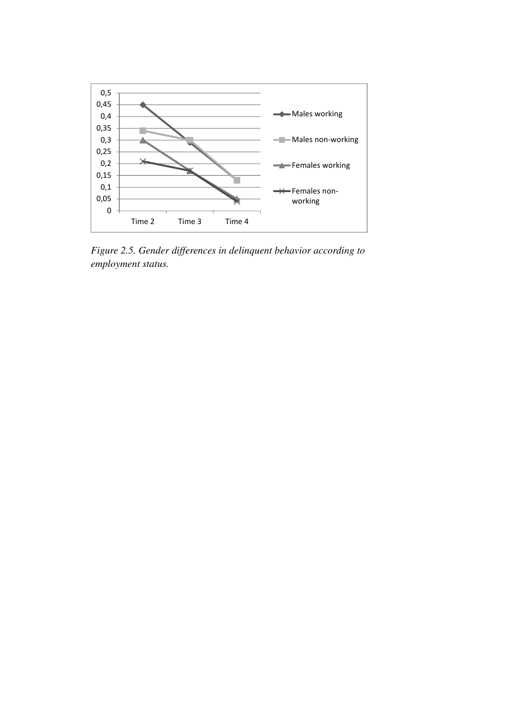

*Figure 2.5. Gender differences in delinquent behavior according to employment status.*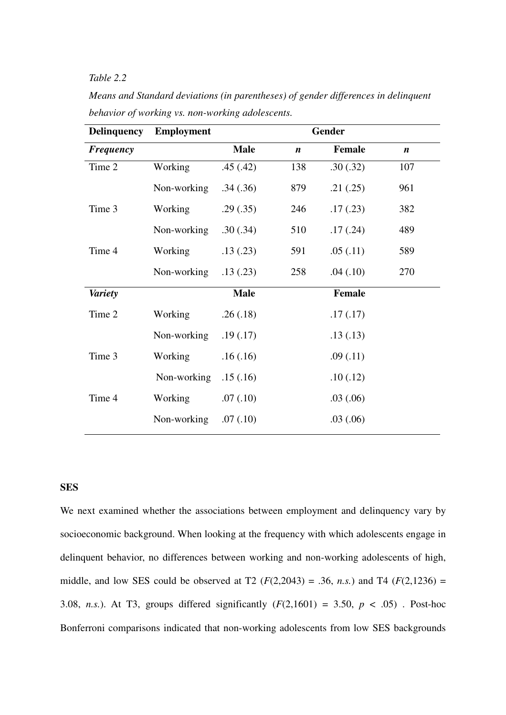# *Table 2.2*

| <b>Delinquency</b> | <b>Employment</b> | Gender      |                  |               |                  |  |
|--------------------|-------------------|-------------|------------------|---------------|------------------|--|
| <b>Frequency</b>   |                   | <b>Male</b> | $\boldsymbol{n}$ | <b>Female</b> | $\boldsymbol{n}$ |  |
| Time 2             | Working           | .45(.42)    | 138              | .30(.32)      | 107              |  |
|                    | Non-working       | .34(.36)    | 879              | .21(.25)      | 961              |  |
| Time 3             | Working           | .29(.35)    | 246              | .17(0.23)     | 382              |  |
|                    | Non-working       | .30(.34)    | 510              | .17(.24)      | 489              |  |
| Time 4             | Working           | .13(.23)    | 591              | .05(.11)      | 589              |  |
|                    | Non-working       | .13(.23)    | 258              | .04(.10)      | 270              |  |
| <b>Variety</b>     |                   | <b>Male</b> |                  | <b>Female</b> |                  |  |
| Time 2             | Working           | .26(.18)    |                  | .17(.17)      |                  |  |
|                    | Non-working       | .19(.17)    |                  | .13(.13)      |                  |  |
| Time 3             | Working           | .16(.16)    |                  | .09(.11)      |                  |  |
|                    | Non-working       | .15(.16)    |                  | .10(.12)      |                  |  |
| Time 4             | Working           | .07(0.10)   |                  | .03(.06)      |                  |  |
|                    | Non-working       | .07(.10)    |                  | .03(.06)      |                  |  |

*Means and Standard deviations (in parentheses) of gender differences in delinquent behavior of working vs. non-working adolescents.* 

# **SES**

We next examined whether the associations between employment and delinquency vary by socioeconomic background. When looking at the frequency with which adolescents engage in delinquent behavior, no differences between working and non-working adolescents of high, middle, and low SES could be observed at T2  $(F(2, 2043) = .36, n.s.)$  and T4  $(F(2, 1236) =$ 3.08, *n.s.*). At T3, groups differed significantly  $(F(2,1601) = 3.50, p < .05)$ . Post-hoc Bonferroni comparisons indicated that non-working adolescents from low SES backgrounds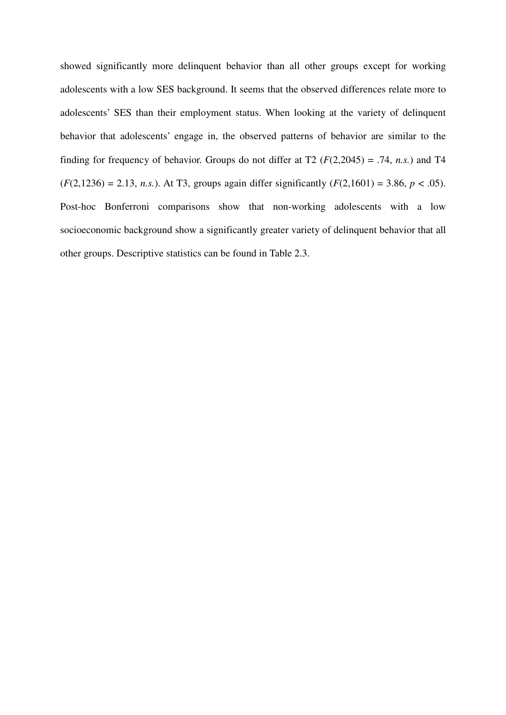showed significantly more delinquent behavior than all other groups except for working adolescents with a low SES background. It seems that the observed differences relate more to adolescents' SES than their employment status. When looking at the variety of delinquent behavior that adolescents' engage in, the observed patterns of behavior are similar to the finding for frequency of behavior. Groups do not differ at  $T2$  ( $F(2,2045) = .74$ , *n.s.*) and T4  $(F(2,1236) = 2.13, n.s.).$  At T3, groups again differ significantly  $(F(2,1601) = 3.86, p < .05).$ Post-hoc Bonferroni comparisons show that non-working adolescents with a low socioeconomic background show a significantly greater variety of delinquent behavior that all other groups. Descriptive statistics can be found in Table 2.3.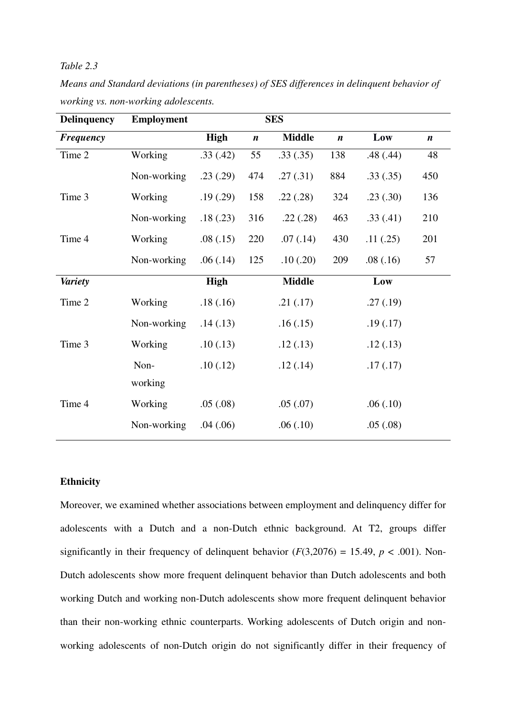# *Table 2.3*

| <b>Delinquency</b> | <b>Employment</b> | <b>SES</b>  |                  |               |                  |          |                  |
|--------------------|-------------------|-------------|------------------|---------------|------------------|----------|------------------|
| <b>Frequency</b>   |                   | <b>High</b> | $\boldsymbol{n}$ | <b>Middle</b> | $\boldsymbol{n}$ | Low      | $\boldsymbol{n}$ |
| Time 2             | Working           | .33(.42)    | 55               | .33(.35)      | 138              | .48(.44) | 48               |
|                    | Non-working       | .23(.29)    | 474              | .27(.31)      | 884              | .33(.35) | 450              |
| Time 3             | Working           | .19(0.29)   | 158              | .22(.28)      | 324              | .23(.30) | 136              |
|                    | Non-working       | .18(.23)    | 316              | .22(.28)      | 463              | .33(.41) | 210              |
| Time 4             | Working           | .08(.15)    | 220              | .07(0.14)     | 430              | .11(.25) | 201              |
|                    | Non-working       | .06(.14)    | 125              | .10(.20)      | 209              | .08(.16) | 57               |
| <b>Variety</b>     |                   | <b>High</b> |                  | <b>Middle</b> |                  | Low      |                  |
| Time 2             | Working           | .18(.16)    |                  | .21(.17)      |                  | .27(.19) |                  |
|                    | Non-working       | .14(.13)    |                  | .16(.15)      |                  | .19(.17) |                  |
| Time 3             | Working           | .10(0.13)   |                  | .12(.13)      |                  | .12(.13) |                  |
|                    | Non-              | .10(.12)    |                  | .12(.14)      |                  | .17(.17) |                  |
|                    | working           |             |                  |               |                  |          |                  |
| Time 4             | Working           | .05(.08)    |                  | .05(.07)      |                  | .06(.10) |                  |
|                    | Non-working       | .04(.06)    |                  | .06(.10)      |                  | .05(.08) |                  |

*Means and Standard deviations (in parentheses) of SES differences in delinquent behavior of working vs. non-working adolescents.* 

# **Ethnicity**

Moreover, we examined whether associations between employment and delinquency differ for adolescents with a Dutch and a non-Dutch ethnic background. At T2, groups differ significantly in their frequency of delinquent behavior  $(F(3,2076) = 15.49, p < .001)$ . Non-Dutch adolescents show more frequent delinquent behavior than Dutch adolescents and both working Dutch and working non-Dutch adolescents show more frequent delinquent behavior than their non-working ethnic counterparts. Working adolescents of Dutch origin and nonworking adolescents of non-Dutch origin do not significantly differ in their frequency of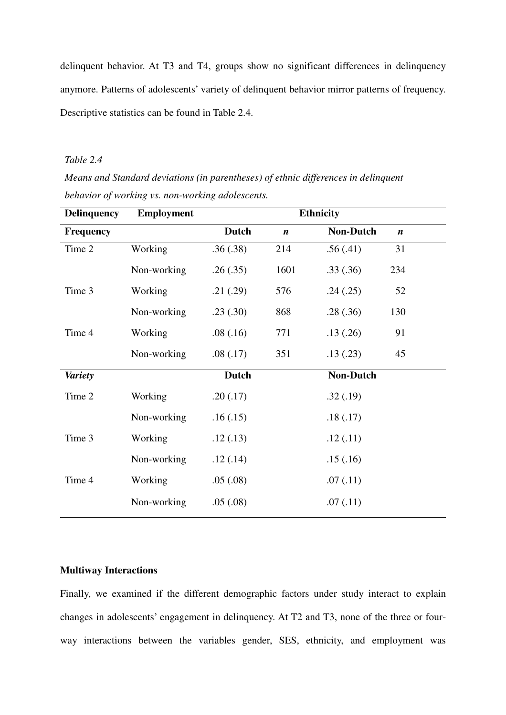delinquent behavior. At T3 and T4, groups show no significant differences in delinquency anymore. Patterns of adolescents' variety of delinquent behavior mirror patterns of frequency. Descriptive statistics can be found in Table 2.4.

# *Table 2.4*

*Means and Standard deviations (in parentheses) of ethnic differences in delinquent behavior of working vs. non-working adolescents.* 

| <b>Delinquency</b> | <b>Employment</b> | <b>Ethnicity</b> |                  |                  |                  |  |
|--------------------|-------------------|------------------|------------------|------------------|------------------|--|
| <b>Frequency</b>   |                   | <b>Dutch</b>     | $\boldsymbol{n}$ | <b>Non-Dutch</b> | $\boldsymbol{n}$ |  |
| Time 2             | Working           | .36(.38)         | 214              | .56(.41)         | 31               |  |
|                    | Non-working       | .26(.35)         | 1601             | .33(.36)         | 234              |  |
| Time 3             | Working           | .21(.29)         | 576              | .24(.25)         | 52               |  |
|                    | Non-working       | .23(.30)         | 868              | .28(.36)         | 130              |  |
| Time 4             | Working           | .08(.16)         | 771              | .13(.26)         | 91               |  |
|                    | Non-working       | .08(.17)         | 351              | .13(.23)         | 45               |  |
| <b>Variety</b>     |                   | <b>Dutch</b>     |                  | <b>Non-Dutch</b> |                  |  |
| Time 2             | Working           | .20(.17)         |                  | .32(.19)         |                  |  |
|                    | Non-working       | .16(.15)         |                  | .18(.17)         |                  |  |
| Time 3             | Working           | .12(.13)         |                  | .12(.11)         |                  |  |
|                    | Non-working       | .12(.14)         |                  | .15(.16)         |                  |  |
| Time 4             | Working           | .05(.08)         |                  | .07(0.11)        |                  |  |
|                    | Non-working       | .05(.08)         |                  | .07(0.11)        |                  |  |

# **Multiway Interactions**

Finally, we examined if the different demographic factors under study interact to explain changes in adolescents' engagement in delinquency. At T2 and T3, none of the three or fourway interactions between the variables gender, SES, ethnicity, and employment was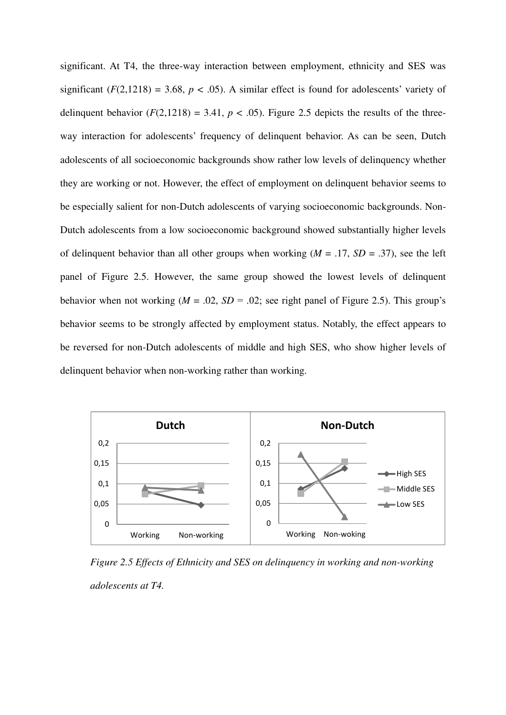significant. At T4, the three-way interaction between employment, ethnicity and SES was significant  $(F(2,1218) = 3.68, p < .05)$ . A similar effect is found for adolescents' variety of delinquent behavior  $(F(2,1218) = 3.41, p < .05)$ . Figure 2.5 depicts the results of the threeway interaction for adolescents' frequency of delinquent behavior. As can be seen, Dutch adolescents of all socioeconomic backgrounds show rather low levels of delinquency whether they are working or not. However, the effect of employment on delinquent behavior seems to be especially salient for non-Dutch adolescents of varying socioeconomic backgrounds. Non-Dutch adolescents from a low socioeconomic background showed substantially higher levels of delinquent behavior than all other groups when working  $(M = .17, SD = .37)$ , see the left panel of Figure 2.5. However, the same group showed the lowest levels of delinquent behavior when not working  $(M = .02, SD = .02)$ ; see right panel of Figure 2.5). This group's behavior seems to be strongly affected by employment status. Notably, the effect appears to be reversed for non-Dutch adolescents of middle and high SES, who show higher levels of delinquent behavior when non-working rather than working.



*Figure 2.5 Effects of Ethnicity and SES on delinquency in working and non-working adolescents at T4.*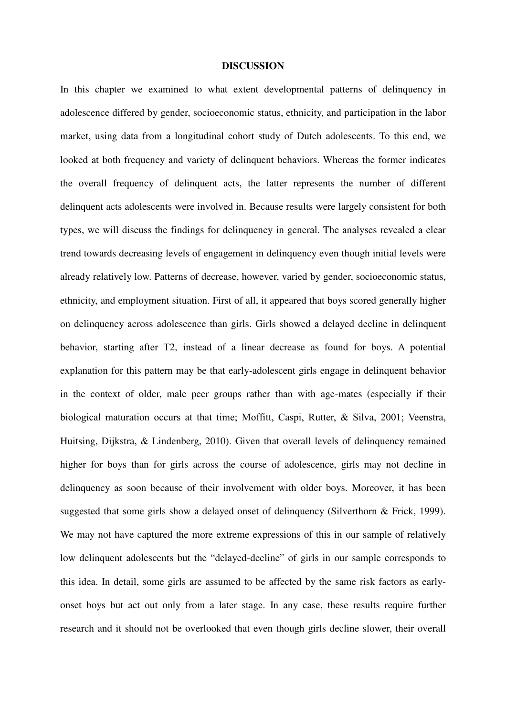#### **DISCUSSION**

In this chapter we examined to what extent developmental patterns of delinquency in adolescence differed by gender, socioeconomic status, ethnicity, and participation in the labor market, using data from a longitudinal cohort study of Dutch adolescents. To this end, we looked at both frequency and variety of delinquent behaviors. Whereas the former indicates the overall frequency of delinquent acts, the latter represents the number of different delinquent acts adolescents were involved in. Because results were largely consistent for both types, we will discuss the findings for delinquency in general. The analyses revealed a clear trend towards decreasing levels of engagement in delinquency even though initial levels were already relatively low. Patterns of decrease, however, varied by gender, socioeconomic status, ethnicity, and employment situation. First of all, it appeared that boys scored generally higher on delinquency across adolescence than girls. Girls showed a delayed decline in delinquent behavior, starting after T2, instead of a linear decrease as found for boys. A potential explanation for this pattern may be that early-adolescent girls engage in delinquent behavior in the context of older, male peer groups rather than with age-mates (especially if their biological maturation occurs at that time; Moffitt, Caspi, Rutter, & Silva, 2001; Veenstra, Huitsing, Dijkstra, & Lindenberg, 2010). Given that overall levels of delinquency remained higher for boys than for girls across the course of adolescence, girls may not decline in delinquency as soon because of their involvement with older boys. Moreover, it has been suggested that some girls show a delayed onset of delinquency (Silverthorn & Frick, 1999). We may not have captured the more extreme expressions of this in our sample of relatively low delinquent adolescents but the "delayed-decline" of girls in our sample corresponds to this idea. In detail, some girls are assumed to be affected by the same risk factors as earlyonset boys but act out only from a later stage. In any case, these results require further research and it should not be overlooked that even though girls decline slower, their overall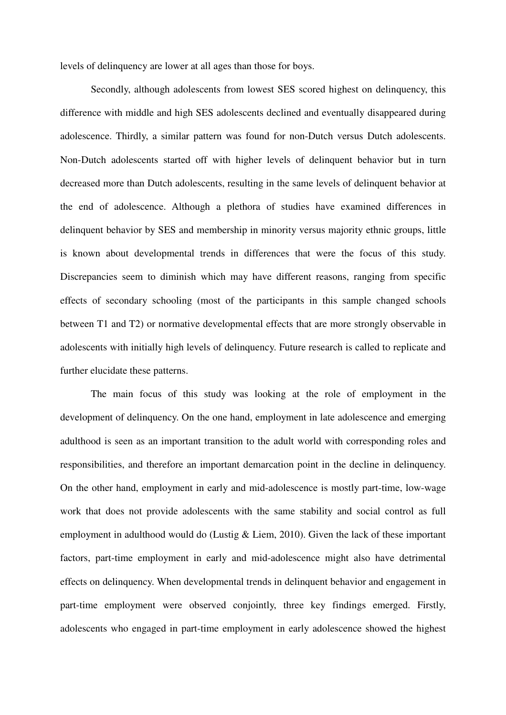levels of delinquency are lower at all ages than those for boys.

Secondly, although adolescents from lowest SES scored highest on delinquency, this difference with middle and high SES adolescents declined and eventually disappeared during adolescence. Thirdly, a similar pattern was found for non-Dutch versus Dutch adolescents. Non-Dutch adolescents started off with higher levels of delinquent behavior but in turn decreased more than Dutch adolescents, resulting in the same levels of delinquent behavior at the end of adolescence. Although a plethora of studies have examined differences in delinquent behavior by SES and membership in minority versus majority ethnic groups, little is known about developmental trends in differences that were the focus of this study. Discrepancies seem to diminish which may have different reasons, ranging from specific effects of secondary schooling (most of the participants in this sample changed schools between T1 and T2) or normative developmental effects that are more strongly observable in adolescents with initially high levels of delinquency. Future research is called to replicate and further elucidate these patterns.

The main focus of this study was looking at the role of employment in the development of delinquency. On the one hand, employment in late adolescence and emerging adulthood is seen as an important transition to the adult world with corresponding roles and responsibilities, and therefore an important demarcation point in the decline in delinquency. On the other hand, employment in early and mid-adolescence is mostly part-time, low-wage work that does not provide adolescents with the same stability and social control as full employment in adulthood would do (Lustig & Liem, 2010). Given the lack of these important factors, part-time employment in early and mid-adolescence might also have detrimental effects on delinquency. When developmental trends in delinquent behavior and engagement in part-time employment were observed conjointly, three key findings emerged. Firstly, adolescents who engaged in part-time employment in early adolescence showed the highest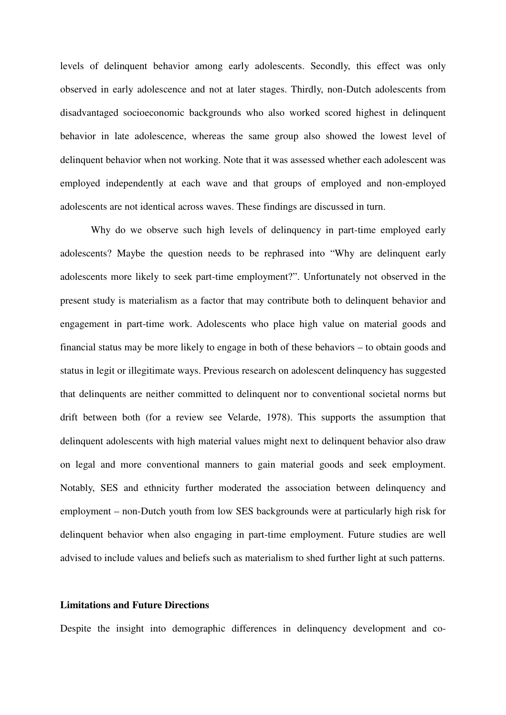levels of delinquent behavior among early adolescents. Secondly, this effect was only observed in early adolescence and not at later stages. Thirdly, non-Dutch adolescents from disadvantaged socioeconomic backgrounds who also worked scored highest in delinquent behavior in late adolescence, whereas the same group also showed the lowest level of delinquent behavior when not working. Note that it was assessed whether each adolescent was employed independently at each wave and that groups of employed and non-employed adolescents are not identical across waves. These findings are discussed in turn.

Why do we observe such high levels of delinquency in part-time employed early adolescents? Maybe the question needs to be rephrased into "Why are delinquent early adolescents more likely to seek part-time employment?". Unfortunately not observed in the present study is materialism as a factor that may contribute both to delinquent behavior and engagement in part-time work. Adolescents who place high value on material goods and financial status may be more likely to engage in both of these behaviors – to obtain goods and status in legit or illegitimate ways. Previous research on adolescent delinquency has suggested that delinquents are neither committed to delinquent nor to conventional societal norms but drift between both (for a review see Velarde, 1978). This supports the assumption that delinquent adolescents with high material values might next to delinquent behavior also draw on legal and more conventional manners to gain material goods and seek employment. Notably, SES and ethnicity further moderated the association between delinquency and employment – non-Dutch youth from low SES backgrounds were at particularly high risk for delinquent behavior when also engaging in part-time employment. Future studies are well advised to include values and beliefs such as materialism to shed further light at such patterns.

# **Limitations and Future Directions**

Despite the insight into demographic differences in delinquency development and co-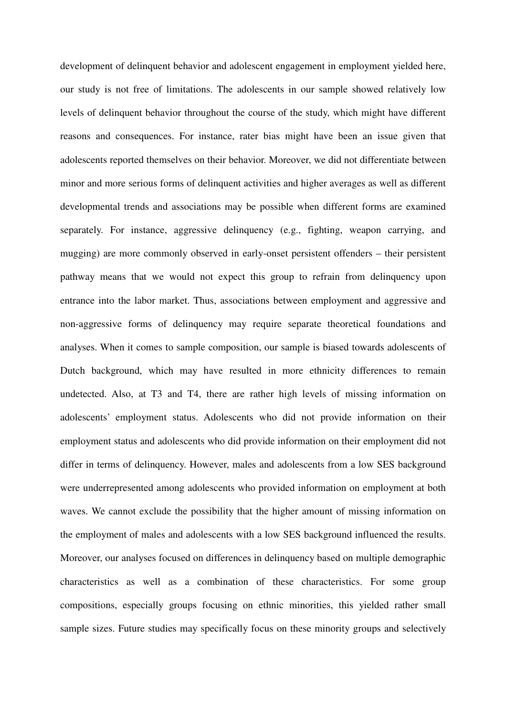development of delinquent behavior and adolescent engagement in employment yielded here, our study is not free of limitations. The adolescents in our sample showed relatively low levels of delinquent behavior throughout the course of the study, which might have different reasons and consequences. For instance, rater bias might have been an issue given that adolescents reported themselves on their behavior. Moreover, we did not differentiate between minor and more serious forms of delinquent activities and higher averages as well as different developmental trends and associations may be possible when different forms are examined separately. For instance, aggressive delinquency (e.g., fighting, weapon carrying, and mugging) are more commonly observed in early-onset persistent offenders – their persistent pathway means that we would not expect this group to refrain from delinquency upon entrance into the labor market. Thus, associations between employment and aggressive and non-aggressive forms of delinquency may require separate theoretical foundations and analyses. When it comes to sample composition, our sample is biased towards adolescents of Dutch background, which may have resulted in more ethnicity differences to remain undetected. Also, at T3 and T4, there are rather high levels of missing information on adolescents' employment status. Adolescents who did not provide information on their employment status and adolescents who did provide information on their employment did not differ in terms of delinquency. However, males and adolescents from a low SES background were underrepresented among adolescents who provided information on employment at both waves. We cannot exclude the possibility that the higher amount of missing information on the employment of males and adolescents with a low SES background influenced the results. Moreover, our analyses focused on differences in delinquency based on multiple demographic characteristics as well as a combination of these characteristics. For some group compositions, especially groups focusing on ethnic minorities, this yielded rather small sample sizes. Future studies may specifically focus on these minority groups and selectively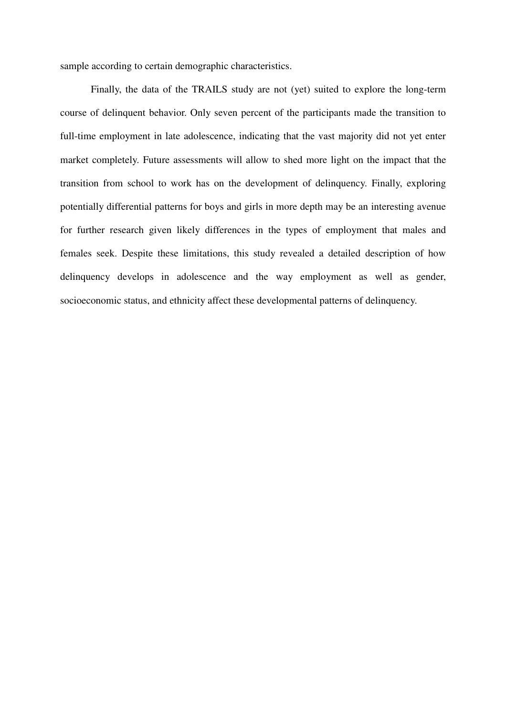sample according to certain demographic characteristics.

Finally, the data of the TRAILS study are not (yet) suited to explore the long-term course of delinquent behavior. Only seven percent of the participants made the transition to full-time employment in late adolescence, indicating that the vast majority did not yet enter market completely. Future assessments will allow to shed more light on the impact that the transition from school to work has on the development of delinquency. Finally, exploring potentially differential patterns for boys and girls in more depth may be an interesting avenue for further research given likely differences in the types of employment that males and females seek. Despite these limitations, this study revealed a detailed description of how delinquency develops in adolescence and the way employment as well as gender, socioeconomic status, and ethnicity affect these developmental patterns of delinquency.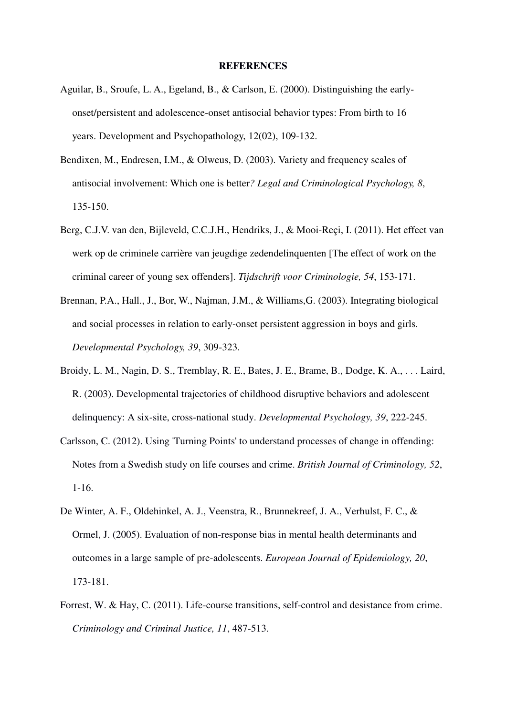# **REFERENCES**

- Aguilar, B., Sroufe, L. A., Egeland, B., & Carlson, E. (2000). Distinguishing the earlyonset/persistent and adolescence-onset antisocial behavior types: From birth to 16 years. Development and Psychopathology, 12(02), 109-132.
- Bendixen, M., Endresen, I.M., & Olweus, D. (2003). Variety and frequency scales of antisocial involvement: Which one is better*? Legal and Criminological Psychology, 8*, 135-150.
- Berg, C.J.V. van den, Bijleveld, C.C.J.H., Hendriks, J., & Mooi-Reçi, I. (2011). Het effect van werk op de criminele carrière van jeugdige zedendelinquenten [The effect of work on the criminal career of young sex offenders]. *Tijdschrift voor Criminologie, 54*, 153-171.
- Brennan, P.A., Hall., J., Bor, W., Najman, J.M., & Williams,G. (2003). Integrating biological and social processes in relation to early-onset persistent aggression in boys and girls. *Developmental Psychology, 39*, 309-323.
- Broidy, L. M., Nagin, D. S., Tremblay, R. E., Bates, J. E., Brame, B., Dodge, K. A., . . . Laird, R. (2003). Developmental trajectories of childhood disruptive behaviors and adolescent delinquency: A six-site, cross-national study. *Developmental Psychology, 39*, 222-245.
- Carlsson, C. (2012). Using 'Turning Points' to understand processes of change in offending: Notes from a Swedish study on life courses and crime. *British Journal of Criminology, 52*, 1-16.
- De Winter, A. F., Oldehinkel, A. J., Veenstra, R., Brunnekreef, J. A., Verhulst, F. C., & Ormel, J. (2005). Evaluation of non-response bias in mental health determinants and outcomes in a large sample of pre-adolescents. *European Journal of Epidemiology, 20*, 173-181.
- Forrest, W. & Hay, C. (2011). Life-course transitions, self-control and desistance from crime. *Criminology and Criminal Justice, 11*, 487-513.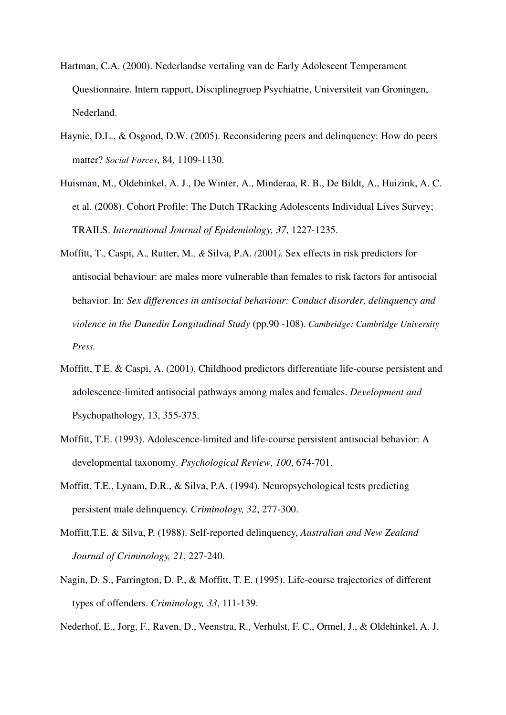- Hartman, C.A. (2000). Nederlandse vertaling van de Early Adolescent Temperament Questionnaire. Intern rapport, Disciplinegroep Psychiatrie, Universiteit van Groningen, Nederland.
- Haynie, D.L., & Osgood, D.W. (2005). Reconsidering peers and delinquency: How do peers matter? *Social Forces*, 84*,* 1109-1130.
- Huisman, M., Oldehinkel, A. J., De Winter, A., Minderaa, R. B., De Bildt, A., Huizink, A. C. et al. (2008). Cohort Profile: The Dutch TRacking Adolescents Individual Lives Survey; TRAILS. *International Journal of Epidemiology, 37*, 1227-1235.
- Moffitt, T.*,* Caspi, A.*,* Rutter, M.*, &* Silva, P.A. *(*2001*).* Sex effects in risk predictors for antisocial behaviour: are males more vulnerable than females to risk factors for antisocial behavior. In: *Sex differences in antisocial behaviour: Conduct disorder, delinquency and violence in the Dunedin Longitudinal Study* (pp.90 -108)*. Cambridge: Cambridge University Press.*
- Moffitt, T.E. & Caspi, A. (2001). Childhood predictors differentiate life-course persistent and adolescence-limited antisocial pathways among males and females. *Development and*  Psychopathology, 13, 355-375.
- Moffitt, T.E. (1993). Adolescence-limited and life-course persistent antisocial behavior: A developmental taxonomy. *Psychological Review, 100*, 674-701.
- Moffitt, T.E., Lynam, D.R., & Silva, P.A. (1994). Neuropsychological tests predicting persistent male delinquency. *Criminology, 32*, 277-300.
- Moffitt,T.E. & Silva, P. (1988). Self-reported delinquency, *Australian and New Zealand Journal of Criminology, 21*, 227-240.
- Nagin, D. S., Farrington, D. P., & Moffitt, T. E. (1995). Life-course trajectories of different types of offenders. *Criminology, 33*, 111-139.

Nederhof, E., Jorg, F., Raven, D., Veenstra, R., Verhulst, F. C., Ormel, J., & Oldehinkel, A. J.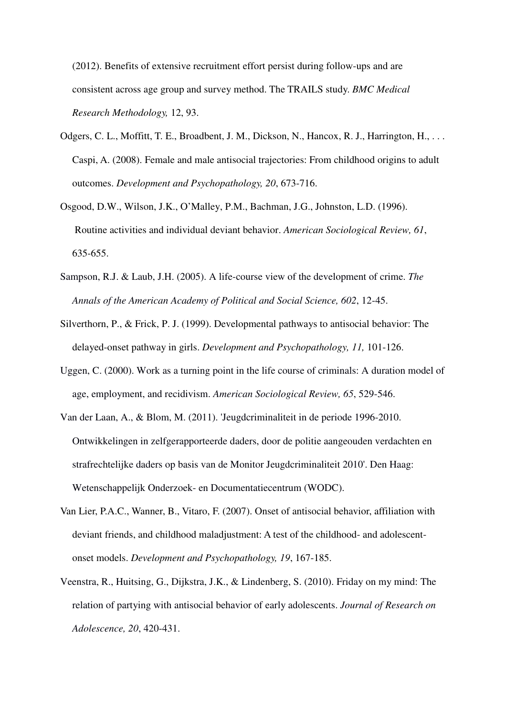(2012). Benefits of extensive recruitment effort persist during follow-ups and are consistent across age group and survey method. The TRAILS study. *BMC Medical Research Methodology,* 12, 93.

- Odgers, C. L., Moffitt, T. E., Broadbent, J. M., Dickson, N., Hancox, R. J., Harrington, H., ... Caspi, A. (2008). Female and male antisocial trajectories: From childhood origins to adult outcomes. *Development and Psychopathology, 20*, 673-716.
- Osgood, D.W., Wilson, J.K., O'Malley, P.M., Bachman, J.G., Johnston, L.D. (1996). Routine activities and individual deviant behavior. *American Sociological Review, 61*, 635-655.
- Sampson, R.J. & Laub, J.H. (2005). A life-course view of the development of crime. *The Annals of the American Academy of Political and Social Science, 602*, 12-45.
- Silverthorn, P., & Frick, P. J. (1999). Developmental pathways to antisocial behavior: The delayed-onset pathway in girls. *Development and Psychopathology, 11,* 101-126.
- Uggen, C. (2000). Work as a turning point in the life course of criminals: A duration model of age, employment, and recidivism. *American Sociological Review, 65*, 529-546.
- Van der Laan, A., & Blom, M. (2011). 'Jeugdcriminaliteit in de periode 1996-2010. Ontwikkelingen in zelfgerapporteerde daders, door de politie aangeouden verdachten en strafrechtelijke daders op basis van de Monitor Jeugdcriminaliteit 2010'. Den Haag: Wetenschappelijk Onderzoek- en Documentatiecentrum (WODC).
- Van Lier, P.A.C., Wanner, B., Vitaro, F. (2007). Onset of antisocial behavior, affiliation with deviant friends, and childhood maladjustment: A test of the childhood- and adolescentonset models. *Development and Psychopathology, 19*, 167-185.
- Veenstra, R., Huitsing, G., Dijkstra, J.K., & Lindenberg, S. (2010). Friday on my mind: The relation of partying with antisocial behavior of early adolescents. *Journal of Research on Adolescence, 20*, 420-431.